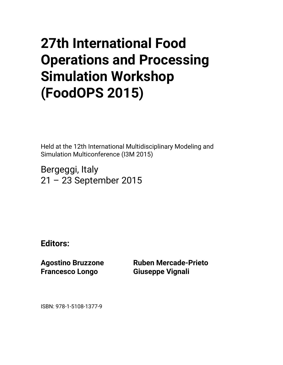## **27th International Food Operations and Processing Simulation Workshop (FoodOPS 2015)**

Held at the 12th International Multidisciplinary Modeling and Simulation Multiconference (I3M 2015)

Bergeggi, Italy 21 – 23 September 2015

**Editors:** 

**Agostino Bruzzone Francesco Longo** 

**Ruben Mercade-Prieto Giuseppe Vignali** 

ISBN: 978-1-5108-1377-9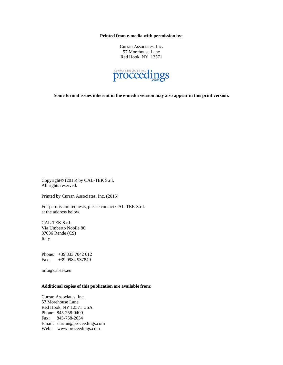**Printed from e-media with permission by:** 

Curran Associates, Inc. 57 Morehouse Lane Red Hook, NY 12571



**Some format issues inherent in the e-media version may also appear in this print version.** 

Copyright© (2015) by CAL-TEK S.r.l. All rights reserved.

Printed by Curran Associates, Inc. (2015)

For permission requests, please contact CAL-TEK S.r.l. at the address below.

CAL-TEK S.r.l. Via Umberto Nobile 80 87036 Rende (CS) Italy

Phone: +39 333 7042 612 Fax: +39 0984 937849

info@cal-tek.eu

## **Additional copies of this publication are available from:**

Curran Associates, Inc. 57 Morehouse Lane Red Hook, NY 12571 USA Phone: 845-758-0400 Fax: 845-758-2634 Email: curran@proceedings.com Web: www.proceedings.com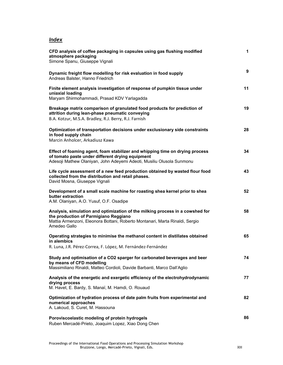## *Index*

| CFD analysis of coffee packaging in capsules using gas flushing modified<br>atmosphere packaging<br>Simone Spanu, Giuseppe Vignali                                                                                     | $\mathbf{1}$ |
|------------------------------------------------------------------------------------------------------------------------------------------------------------------------------------------------------------------------|--------------|
| Dynamic freight flow modelling for risk evaluation in food supply<br>Andreas Balster, Hanno Friedrich                                                                                                                  | 9            |
| Finite element analysis investigation of response of pumpkin tissue under<br>uniaxial loading<br>Maryam Shirmohammadi, Prasad KDV Yarlagadda                                                                           | 11           |
| Breakage matrix comparison of granulated food products for prediction of<br>attrition during lean-phase pneumatic conveying<br>B.A. Kotzur, M.S.A. Bradley, R.J. Berry, R.J. Farnish                                   | 19           |
| Optimization of transportation decisions under exclusionary side constraints<br>in food supply chain<br>Marcin Anholcer, Arkadiusz Kawa                                                                                | 28           |
| Effect of foaming agent, foam stabilizer and whipping time on drying process<br>of tomato paste under different drying equipment<br>Adesoji Mathew Olaniyan, John Adeyemi Adeoti, Musiliu Olusola Sunmonu              | 34           |
| Life cycle assessment of a new feed production obtained by wasted flour food<br>collected from the distribution and retail phases.<br>David Mosna, Giuseppe Vignali                                                    | 43           |
| Development of a small scale machine for roasting shea kernel prior to shea<br>butter extraction<br>A.M. Olaniyan, A.O. Yusuf, O.F. Osadipe                                                                            | 52           |
| Analysis, simulation and optimization of the milking process in a cowshed for<br>the production of Parmigiano Reggiano<br>Mattia Armenzoni, Eleonora Bottani, Roberto Montanari, Marta Rinaldi, Sergio<br>Amedeo Gallo | 58           |
| Operating strategies to minimise the methanol content in distillates obtained<br>in alembics<br>R. Luna, J.R. Pérez-Correa, F. López, M. Fernández-Fernández                                                           | 65           |
| Study and optimisation of a CO2 sparger for carbonated beverages and beer<br>by means of CFD modelling<br>Massimiliano Rinaldi, Matteo Cordioli, Davide Barbanti, Marco Dall'Aglio                                     | 74           |
| Analysis of the energetic and exergetic efficiency of the electrohydrodynamic<br>drying process<br>M. Havet, E. Bardy, S. Manaï, M. Hamdi, O. Rouaud                                                                   | 77           |
| Optimization of hydration process of date palm fruits from experimental and<br>numerical approaches<br>A. Lakoud, S. Curet, M. Hassouna                                                                                | 82           |
| Poroviscoelastic modeling of protein hydrogels<br>Ruben Mercadé-Prieto, Joaquim Lopez, Xiao Dong Chen                                                                                                                  | 86           |